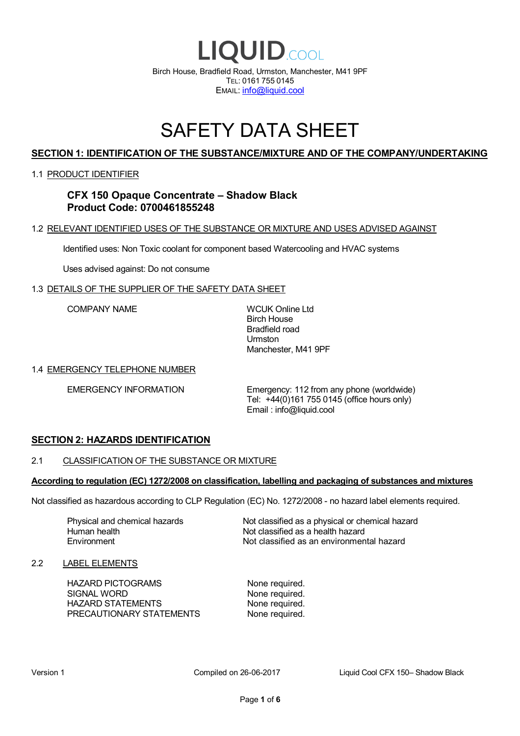

# SAFETY DATA SHEET

# **SECTION 1: IDENTIFICATION OF THE SUBSTANCE/MIXTURE AND OF THE COMPANY/UNDERTAKING**

#### 1.1 PRODUCT IDENTIFIER

**CFX 150 Opaque Concentrate – Shadow Black Product Code: 0700461855248**

#### 1.2 RELEVANT IDENTIFIED USES OF THE SUBSTANCE OR MIXTURE AND USES ADVISED AGAINST

Identified uses: Non Toxic coolant for component based Watercooling and HVAC systems

Uses advised against: Do not consume

#### 1.3 DETAILS OF THE SUPPLIER OF THE SAFETY DATA SHEET

COMPANY NAME WCUK Online Ltd

Birch House Bradfield road Urmston Manchester, M41 9PF

#### 1.4 EMERGENCY TELEPHONE NUMBER

EMERGENCY INFORMATION Emergency: 112 from any phone (worldwide) Tel: +44(0)161 755 0145 (office hours only) Email : info@liquid.cool

#### **SECTION 2: HAZARDS IDENTIFICATION**

#### 2.1 CLASSIFICATION OF THE SUBSTANCE OR MIXTURE

#### **According to regulation (EC) 1272/2008 on classification, labelling and packaging of substances and mixtures**

Not classified as hazardous according to CLP Regulation (EC) No. 1272/2008 - no hazard label elements required.

Human health **Environment** 

Physical and chemical hazards Not classified as a physical or chemical hazard Not classified as a health hazard Not classified as an environmental hazard

#### 2.2 LABEL ELEMENTS

HAZARD PICTOGRAMS None required. SIGNAL WORD None required. HAZARD STATEMENTS None required. PRECAUTIONARY STATEMENTS None required.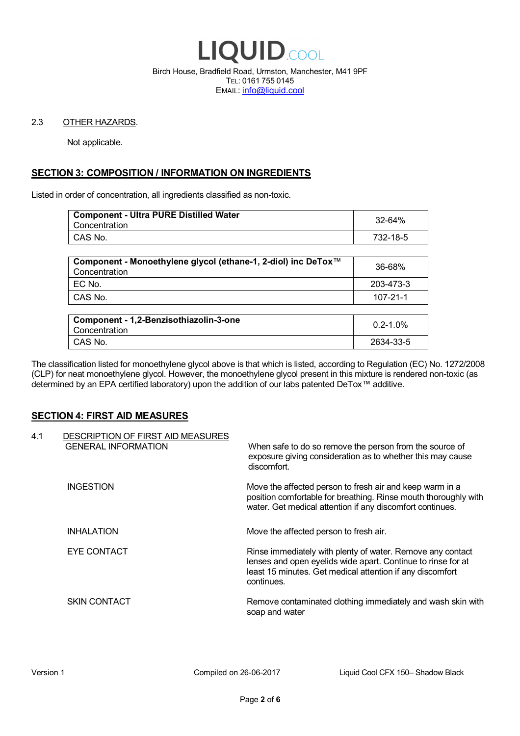

Birch House, Bradfield Road, Urmston, Manchester, M41 9PF TEL: 0161 755 0145 EMAIL: info@liquid.cool

#### 2.3 OTHER HAZARDS.

Not applicable.

# **SECTION 3: COMPOSITION / INFORMATION ON INGREDIENTS**

Listed in order of concentration, all ingredients classified as non-toxic.

| <b>Component - Ultra PURE Distilled Water</b><br>Concentration | 32-64%   |
|----------------------------------------------------------------|----------|
| CAS No.                                                        | 732-18-5 |
|                                                                |          |

| Component - Monoethylene glycol (ethane-1, 2-diol) inc DeTox™<br>Concentration | 36-68%    |
|--------------------------------------------------------------------------------|-----------|
| 'EC No.                                                                        | 203-473-3 |
| ∣ CAS No.                                                                      | 107-21-1  |

| Component - 1,2-Benzisothiazolin-3-one<br>Concentration | $0.2 - 1.0\%$ |
|---------------------------------------------------------|---------------|
| CAS No.                                                 | 2634-33-5     |

The classification listed for monoethylene glycol above is that which is listed, according to Regulation (EC) No. 1272/2008 (CLP) for neat monoethylene glycol. However, the monoethylene glycol present in this mixture is rendered non-toxic (as determined by an EPA certified laboratory) upon the addition of our labs patented DeTox™ additive.

#### **SECTION 4: FIRST AID MEASURES**

| 4.1 | DESCRIPTION OF FIRST AID MEASURES<br><b>GENERAL INFORMATION</b> | When safe to do so remove the person from the source of<br>exposure giving consideration as to whether this may cause<br>discomfort.                                                                  |
|-----|-----------------------------------------------------------------|-------------------------------------------------------------------------------------------------------------------------------------------------------------------------------------------------------|
|     | <b>INGESTION</b>                                                | Move the affected person to fresh air and keep warm in a<br>position comfortable for breathing. Rinse mouth thoroughly with<br>water. Get medical attention if any discomfort continues.              |
|     | <b>INHALATION</b>                                               | Move the affected person to fresh air.                                                                                                                                                                |
|     | EYE CONTACT                                                     | Rinse immediately with plenty of water. Remove any contact<br>lenses and open eyelids wide apart. Continue to rinse for at<br>least 15 minutes. Get medical attention if any discomfort<br>continues. |
|     | <b>SKIN CONTACT</b>                                             | Remove contaminated clothing immediately and wash skin with<br>soap and water                                                                                                                         |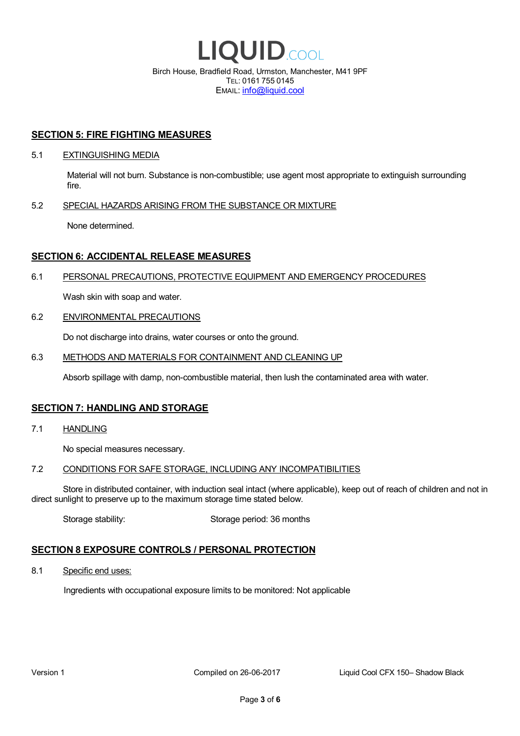

EMAIL: info@liquid.cool

#### **SECTION 5: FIRE FIGHTING MEASURES**

#### 5.1 EXTINGUISHING MEDIA

Material will not burn. Substance is non-combustible; use agent most appropriate to extinguish surrounding fire.

#### 5.2 SPECIAL HAZARDS ARISING FROM THE SUBSTANCE OR MIXTURE

None determined.

### **SECTION 6: ACCIDENTAL RELEASE MEASURES**

#### 6.1 PERSONAL PRECAUTIONS, PROTECTIVE EQUIPMENT AND EMERGENCY PROCEDURES

Wash skin with soap and water.

#### 6.2 ENVIRONMENTAL PRECAUTIONS

Do not discharge into drains, water courses or onto the ground.

#### 6.3 METHODS AND MATERIALS FOR CONTAINMENT AND CLEANING UP

Absorb spillage with damp, non-combustible material, then lush the contaminated area with water.

#### **SECTION 7: HANDLING AND STORAGE**

7.1 HANDLING

No special measures necessary.

#### 7.2 CONDITIONS FOR SAFE STORAGE, INCLUDING ANY INCOMPATIBILITIES

Store in distributed container, with induction seal intact (where applicable), keep out of reach of children and not in direct sunlight to preserve up to the maximum storage time stated below.

Storage stability: Storage period: 36 months

# **SECTION 8 EXPOSURE CONTROLS / PERSONAL PROTECTION**

8.1 Specific end uses:

Ingredients with occupational exposure limits to be monitored: Not applicable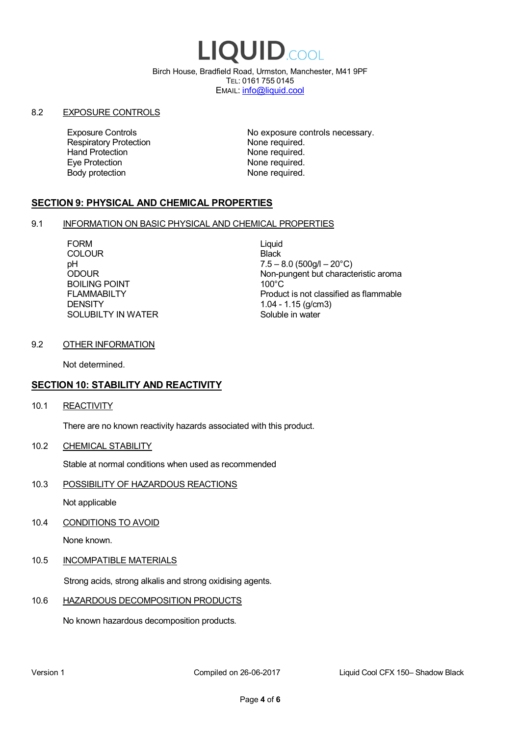# LIQUID.COOL

Birch House, Bradfield Road, Urmston, Manchester, M41 9PF TEL: 0161 755 0145 EMAIL: info@liquid.cool

#### 8.2 EXPOSURE CONTROLS

Respiratory Protection **None required.**<br>
Hand Protection **None required.** Eye Protection **None required.** Body protection None required.

Exposure Controls **Exposure Controls** No exposure controls necessary. None required.

# **SECTION 9: PHYSICAL AND CHEMICAL PROPERTIES**

#### 9.1 INFORMATION ON BASIC PHYSICAL AND CHEMICAL PROPERTIES

FORM Liquid **COLOUR** Black BOILING POINT FLAMMABILTY **DENSITY** SOLUBILTY IN WATER

pH<br>
DDOUR
20°C)
2000UR
2000UR
2000UR
2000UR Non-pungent but characteristic aroma 100°C Product is not classified as flammable 1.04 - 1.15 (g/cm3) Soluble in water

#### 9.2 OTHER INFORMATION

Not determined.

# **SECTION 10: STABILITY AND REACTIVITY**

10.1 REACTIVITY

There are no known reactivity hazards associated with this product.

10.2 CHEMICAL STABILITY

Stable at normal conditions when used as recommended

10.3 POSSIBILITY OF HAZARDOUS REACTIONS

Not applicable

10.4 CONDITIONS TO AVOID

None known.

#### 10.5 INCOMPATIBLE MATERIALS

Strong acids, strong alkalis and strong oxidising agents.

#### 10.6 HAZARDOUS DECOMPOSITION PRODUCTS

No known hazardous decomposition products.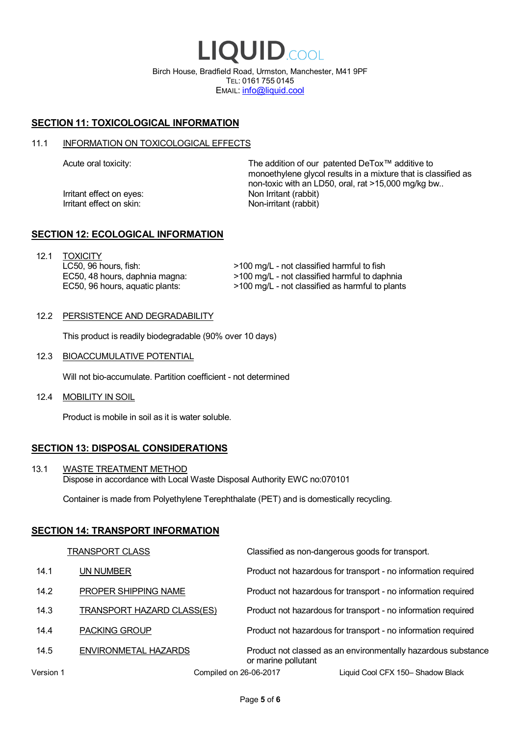LIQUID.COOL Birch House, Bradfield Road, Urmston, Manchester, M41 9PF TEL: 0161 755 0145 EMAIL: info@liquid.cool

# **SECTION 11: TOXICOLOGICAL INFORMATION**

#### 11.1 INFORMATION ON TOXICOLOGICAL EFFECTS

Irritant effect on eves: Non Irritant (rabbit) Irritant effect on skin: Non-irritant (rabbit)

Acute oral toxicity: The addition of our patented DeTox™ additive to monoethylene glycol results in a mixture that is classified as non-toxic with an LD50, oral, rat >15,000 mg/kg bw..

#### **SECTION 12: ECOLOGICAL INFORMATION**

12.1 TOXICITY LC50, 96 hours, fish: EC50, 48 hours, daphnia magna: EC50, 96 hours, aquatic plants:

>100 mg/L - not classified harmful to fish >100 mg/L - not classified harmful to daphnia >100 mg/L - not classified as harmful to plants

#### 12.2 PERSISTENCE AND DEGRADABILITY

This product is readily biodegradable (90% over 10 days)

12.3 BIOACCUMULATIVE POTENTIAL

Will not bio-accumulate. Partition coefficient - not determined

12.4 MOBILITY IN SOIL

Product is mobile in soil as it is water soluble.

# **SECTION 13: DISPOSAL CONSIDERATIONS**

13.1 WASTE TREATMENT METHOD Dispose in accordance with Local Waste Disposal Authority EWC no:070101

Container is made from Polyethylene Terephthalate (PET) and is domestically recycling.

#### **SECTION 14: TRANSPORT INFORMATION**

|           | <b>TRANSPORT CLASS</b>            | Classified as non-dangerous goods for transport.                                     |
|-----------|-----------------------------------|--------------------------------------------------------------------------------------|
| 14.1      | UN NUMBER                         | Product not hazardous for transport - no information required                        |
| 14.2      | PROPER SHIPPING NAME              | Product not hazardous for transport - no information required                        |
| 14.3      | <b>TRANSPORT HAZARD CLASS(ES)</b> | Product not hazardous for transport - no information required                        |
| 14.4      | <b>PACKING GROUP</b>              | Product not hazardous for transport - no information required                        |
| 14.5      | ENVIRONMETAL HAZARDS              | Product not classed as an environmentally hazardous substance<br>or marine pollutant |
| Version 1 | Compiled on 26-06-2017            | Liquid Cool CFX 150– Shadow Black                                                    |